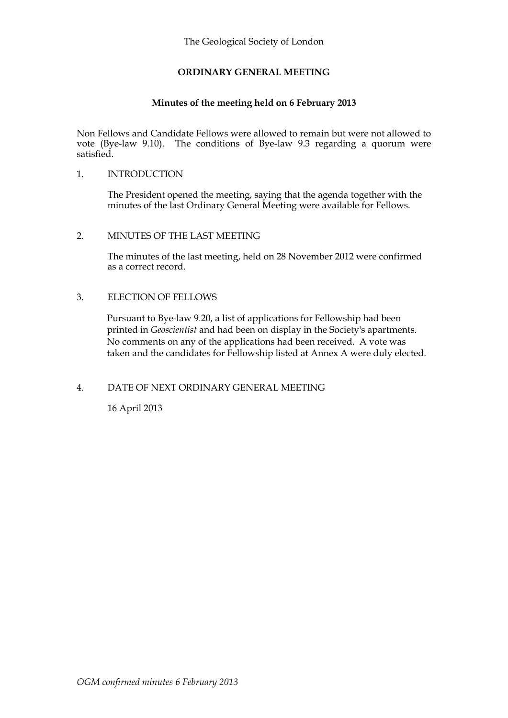## **ORDINARY GENERAL MEETING**

### **Minutes of the meeting held on 6 February 2013**

Non Fellows and Candidate Fellows were allowed to remain but were not allowed to vote (Bye-law 9.10). The conditions of Bye-law 9.3 regarding a quorum were satisfied.

#### 1. INTRODUCTION

The President opened the meeting, saying that the agenda together with the minutes of the last Ordinary General Meeting were available for Fellows.

#### 2. MINUTES OF THE LAST MEETING

The minutes of the last meeting, held on 28 November 2012 were confirmed as a correct record.

#### 3. ELECTION OF FELLOWS

Pursuant to Bye-law 9.20, a list of applications for Fellowship had been printed in *Geoscientist* and had been on display in the Society's apartments. No comments on any of the applications had been received. A vote was taken and the candidates for Fellowship listed at Annex A were duly elected.

## 4. DATE OF NEXT ORDINARY GENERAL MEETING

16 April 2013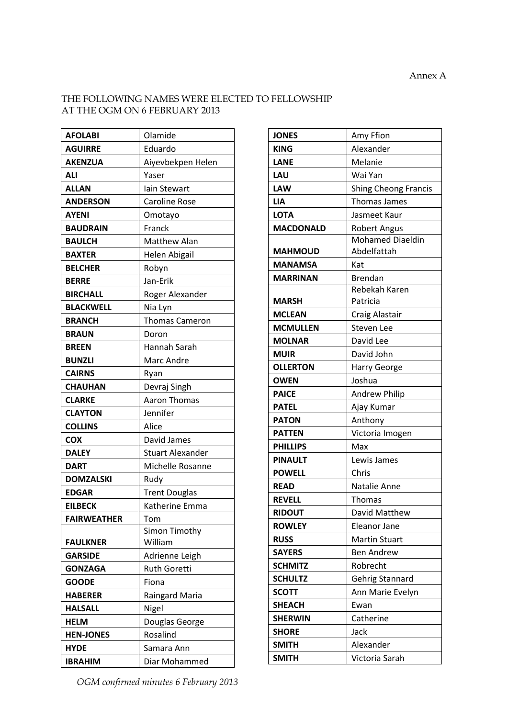$\overline{\phantom{0}}$ 

# THE FOLLOWING NAMES WERE ELECTED TO FELLOWSHIP AT THE OGM ON 6 FEBRUARY 2013

| <b>AFOLABI</b>     | Olamide                 |
|--------------------|-------------------------|
| <b>AGUIRRE</b>     | Eduardo                 |
| <b>AKENZUA</b>     | Aiyevbekpen Helen       |
| <b>ALI</b>         | Yaser                   |
| <b>ALLAN</b>       | lain Stewart            |
| <b>ANDERSON</b>    | <b>Caroline Rose</b>    |
| <b>AYENI</b>       | Omotayo                 |
| <b>BAUDRAIN</b>    | Franck                  |
| <b>BAULCH</b>      | <b>Matthew Alan</b>     |
| <b>BAXTER</b>      | Helen Abigail           |
| <b>BELCHER</b>     | Robyn                   |
| <b>BERRE</b>       | Jan-Erik                |
| <b>BIRCHALL</b>    | Roger Alexander         |
| <b>BLACKWELL</b>   | Nia Lyn                 |
| <b>BRANCH</b>      | <b>Thomas Cameron</b>   |
| <b>BRAUN</b>       | Doron                   |
| <b>BREEN</b>       | Hannah Sarah            |
| <b>BUNZLI</b>      | Marc Andre              |
| <b>CAIRNS</b>      | Ryan                    |
| <b>CHAUHAN</b>     | Devraj Singh            |
| <b>CLARKE</b>      | <b>Aaron Thomas</b>     |
| <b>CLAYTON</b>     | Jennifer                |
| <b>COLLINS</b>     | Alice                   |
| <b>COX</b>         | David James             |
| <b>DALEY</b>       | <b>Stuart Alexander</b> |
| <b>DART</b>        | Michelle Rosanne        |
| <b>DOMZALSKI</b>   | Rudy                    |
| <b>EDGAR</b>       | <b>Trent Douglas</b>    |
| <b>EILBECK</b>     | Katherine Emma          |
| <b>FAIRWEATHER</b> | Tom                     |
|                    | Simon Timothy           |
| <b>FAULKNER</b>    | William                 |
| <b>GARSIDE</b>     | Adrienne Leigh          |
| <b>GONZAGA</b>     | <b>Ruth Goretti</b>     |
| <b>GOODE</b>       | Fiona                   |
| <b>HABERER</b>     | <b>Raingard Maria</b>   |
| <b>HALSALL</b>     | Nigel                   |
| <b>HELM</b>        | Douglas George          |
| <b>HEN-JONES</b>   | Rosalind                |
| <b>HYDE</b>        | Samara Ann              |
| <b>IBRAHIM</b>     | Diar Mohammed           |

| <b>JONES</b>     | Amy Ffion               |
|------------------|-------------------------|
| <b>KING</b>      | Alexander               |
| <b>LANE</b>      | Melanie                 |
| <b>LAU</b>       | Wai Yan                 |
| <b>LAW</b>       | Shing Cheong Francis    |
| <b>LIA</b>       | <b>Thomas James</b>     |
| <b>LOTA</b>      | Jasmeet Kaur            |
| <b>MACDONALD</b> | <b>Robert Angus</b>     |
|                  | <b>Mohamed Diaeldin</b> |
| <b>MAHMOUD</b>   | Abdelfattah             |
| <b>MANAMSA</b>   | Kat                     |
| MARRINAN         | <b>Brendan</b>          |
|                  | Rebekah Karen           |
| <b>MARSH</b>     | Patricia                |
| <b>MCLEAN</b>    | Craig Alastair          |
| <b>MCMULLEN</b>  | <b>Steven Lee</b>       |
| <b>MOLNAR</b>    | David Lee               |
| <b>MUIR</b>      | David John              |
| <b>OLLERTON</b>  | Harry George            |
| <b>OWEN</b>      | Joshua                  |
| <b>PAICE</b>     | Andrew Philip           |
| <b>PATEL</b>     | Ajay Kumar              |
| <b>PATON</b>     | Anthony                 |
| <b>PATTEN</b>    | Victoria Imogen         |
| <b>PHILLIPS</b>  | Max                     |
| <b>PINAULT</b>   | Lewis James             |
| <b>POWELL</b>    | Chris                   |
| <b>READ</b>      | Natalie Anne            |
| <b>REVELL</b>    | <b>Thomas</b>           |
| <b>RIDOUT</b>    | David Matthew           |
| <b>ROWLEY</b>    | Eleanor Jane            |
| <b>RUSS</b>      | <b>Martin Stuart</b>    |
| <b>SAYERS</b>    | <b>Ben Andrew</b>       |
| <b>SCHMITZ</b>   | Robrecht                |
| <b>SCHULTZ</b>   | Gehrig Stannard         |
| <b>SCOTT</b>     | Ann Marie Evelyn        |
| <b>SHEACH</b>    | Ewan                    |
| <b>SHERWIN</b>   | Catherine               |
| <b>SHORE</b>     | Jack                    |
| <b>SMITH</b>     | Alexander               |
| <b>SMITH</b>     | Victoria Sarah          |